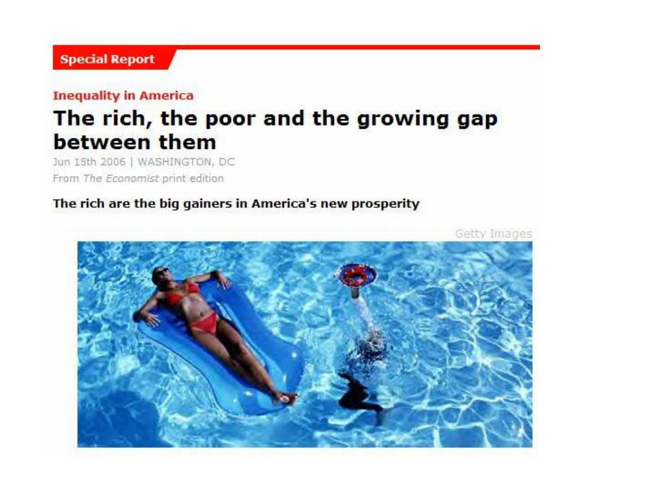**Special Report** 

#### **Inequality in America**

### The rich, the poor and the growing gap between them

Jun 15th 2006 | WASHINGTON, DC From The Economist print edition

#### The rich are the big gainers in America's new prosperity

Getty Images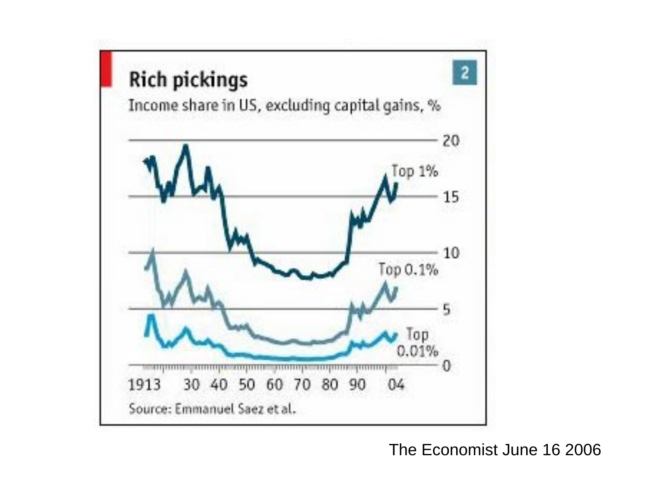

### The Economist June 16 2006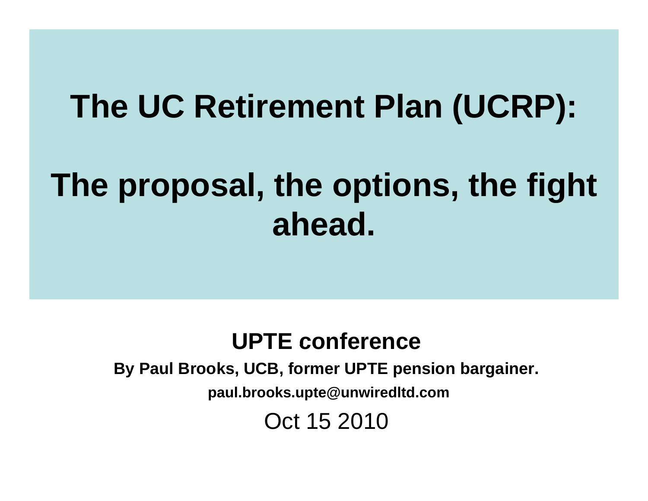## **The UC Retirement Plan (UCRP):**

## **The proposal, the options, the fight ahead.**

### **UPTE conference**

**By Paul Brooks, UCB, former UPTE pension bargainer.**

**paul.brooks.upte@unwiredltd.com**

Oct 15 2010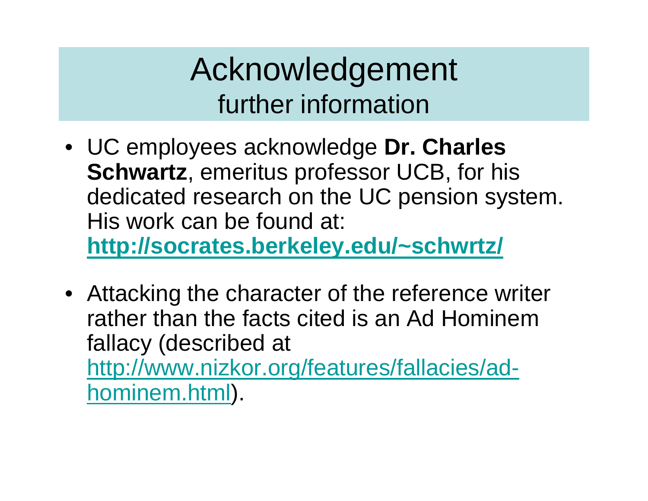Acknowledgement further information

- UC employees acknowledge Dr. Charles **Schwartz**, emeritus professor UCB, for his dedicated research on the UC pension system. His work can be found at: **http://socrates.berkeley.edu/~schwrtz/**
- Attacking the character of the reference writer rather than the facts cited is an Ad Hominem fallacy (described at http://www.nizkor.org/features/fallacies/adhominem.html).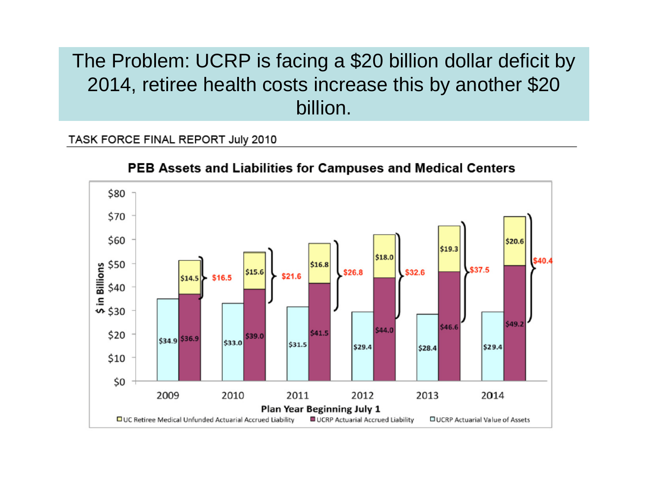### The Problem: UCRP is facing a \$20 billion dollar deficit by 2014, retiree health costs increase this by another \$20 billion.

#### TASK FORCE FINAL REPORT July 2010



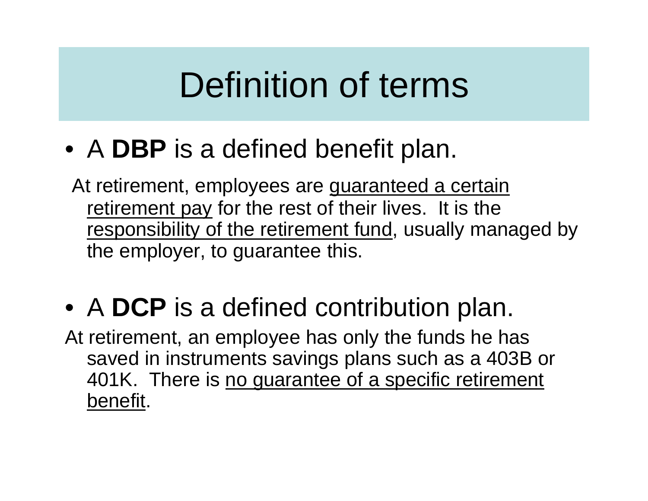# Definition of terms

• A **DBP** is <sup>a</sup> defined benefit plan.

At retirement, employees are guaranteed a certain retirement pay for the rest of their lives. It is the responsibility of the retirement fund, usually managed by the employer, to guarantee this.

• A **DCP** is a defined contribution plan.

At retirement, an employee has only the funds he has saved in instruments savings plans such as a 403B or 401K. There is no guarantee of a specific retirement benefit.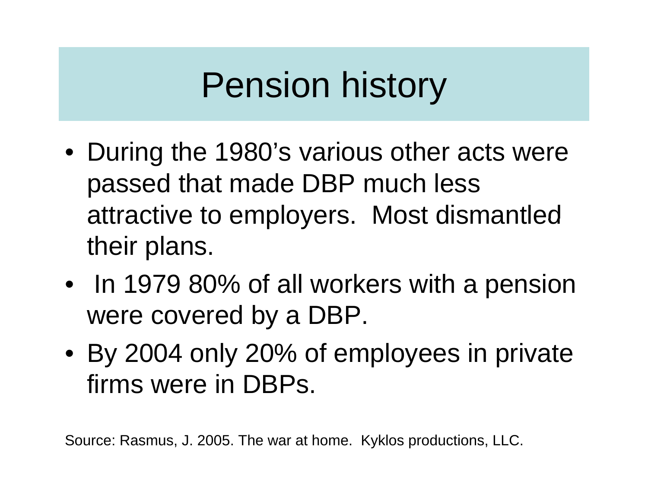# Pension history

- During the 1980's various other acts were passed that made DBP much less attractive to employers. Most dismantled their plans.
- In 1979 80% of all workers with a pension were covered by a DBP.
- By 2004 only 20% of employees in private firms were in DBPs.

Source: Rasmus, J. 2005. The war at home. Kyklos productions, LLC.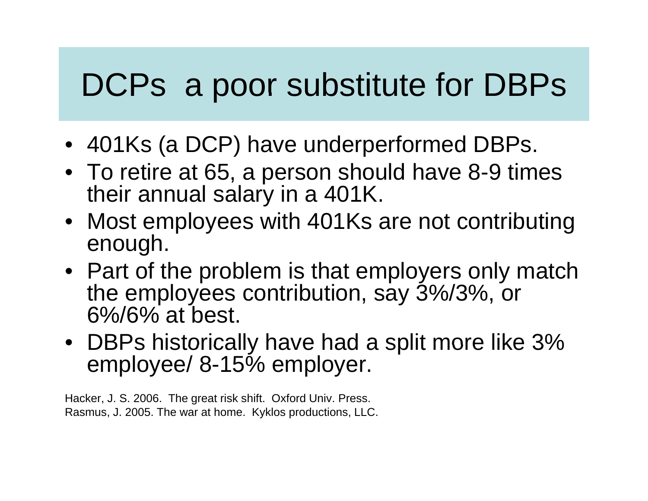## DCPs a poor substitute for DBPs

- $\bullet\,$  401Ks (a DCP) have underperformed DBPs.
- To retire at 65, a person should have 8-9 times their annual salary in a 401K.
- Most employees with 401Ks are not contributing enough.
- Part of the problem is that employers only match the employees contribution, say 3%/3%, or 6%/6% at best.
- DBPs historically have had <sup>a</sup> split more like 3% employee/ 8-15% employer.

Hacker, J. S. 2006. The great risk shift. Oxford Univ. Press. Rasmus, J. 2005. The war at home. Kyklos productions, LLC.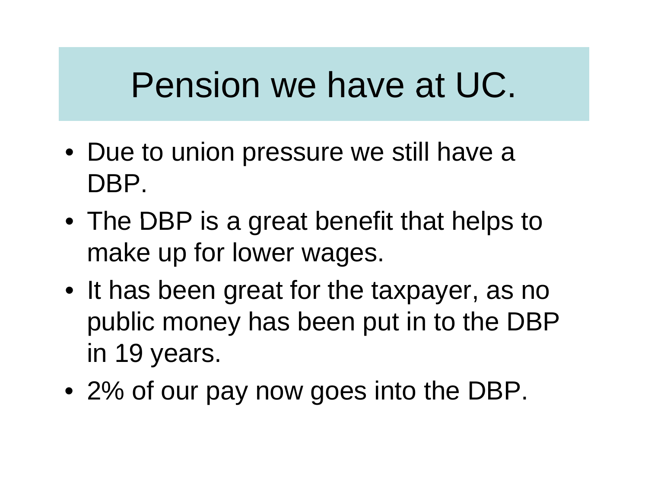# Pension we have at UC.

- Due to union pressure we still have <sup>a</sup> DBP.
- $\bullet\,$  The DBP is a great benefit that helps to make up for lower wages.
- $\bullet\,$  It has been great for the taxpayer, as no public money has been put in to the DBP in 19 years.
- 2% of our pay now goes into the DBP.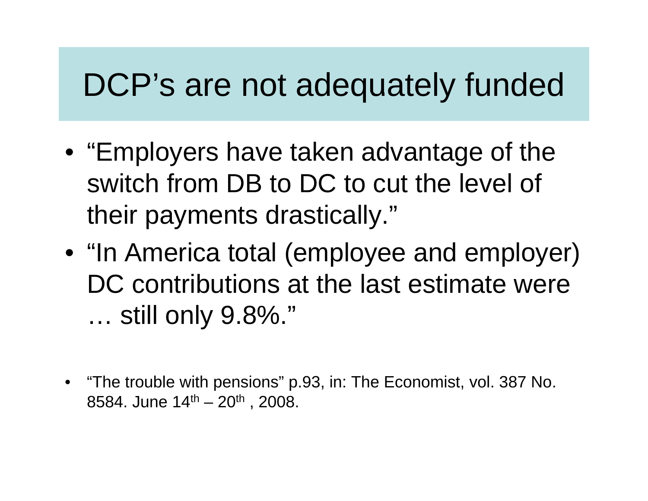## DCP's are not adequately funded

- $\bullet\,$  "Employers have taken advantage of the switch from DB to DC to cut the level of their payments drastically."
- "In America total (employee and employer) DC contributions at the last estimate were … still only 9.8%."
- $\bullet$  "The trouble with pensions" p.93, in: The Economist, vol. 387 No. 8584. June 14<sup>th</sup> – 20<sup>th</sup> , 2008.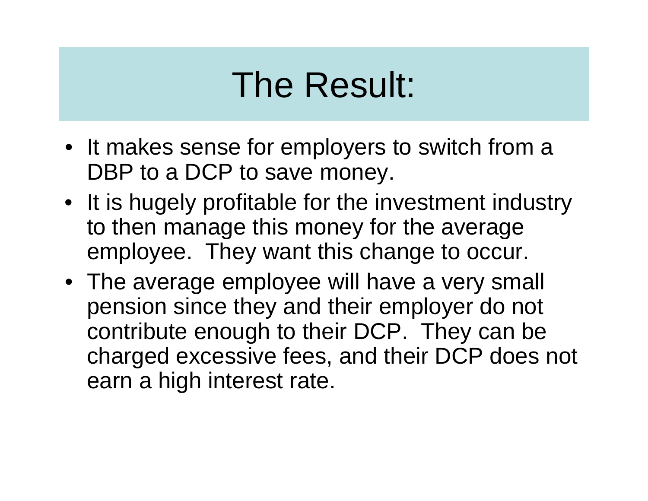## The Result:

- $\bullet$  It makes sense for employers to switch from a DBP to a DCP to save money.
- It is hugely profitable for the investment industry to then manage this money for the average employee. They want this change to occur.
- The average employee will have <sup>a</sup> very small pension since they and their employer do not contribute enough to their DCP. They can be charged excessive fees, and their DCP does not earn a high interest rate.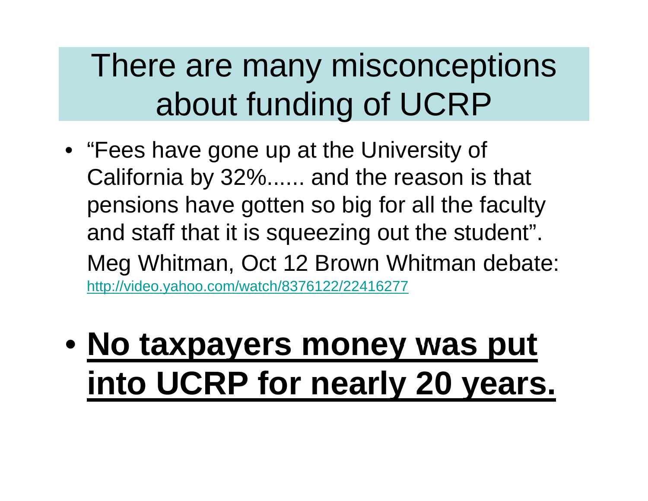There are many misconceptions about funding of UCRP

 $\bullet \,$  "Fees have gone up at the University of California by 32%...... and the reason is that pensions have gotten so big for all the faculty and staff that it is squeezing out the student". Meg Whitman, Oct 12 Brown Whitman debate: <u>http://video.yahoo.com/watch/8376122/22416277</u>

### $\bullet$  **No taxpayers money was put into UCRP for nearly 20 years.**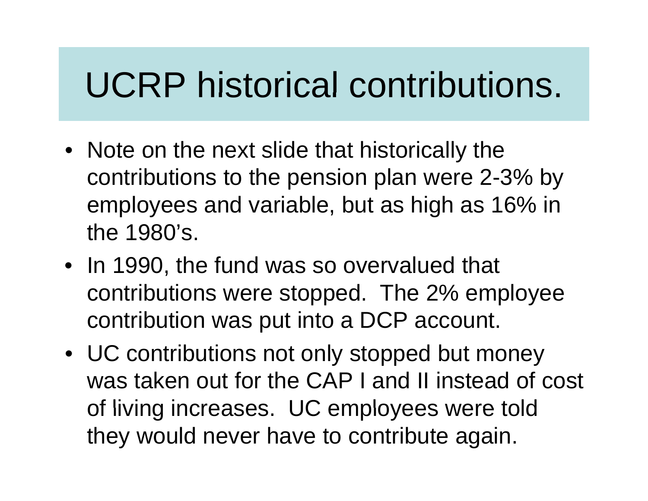# UCRP historical contributions.

- Note on the next slide that historically the contributions to the pension plan were 2-3% by employees and variable, but as high as 16% in the 1980's.
- In 1990, the fund was so overvalued that contributions were stopped. The 2% employee contribution was put into a DCP account.
- UC contributions not only stopped but money was taken out for the CAP I and II instead of cost of living increases. UC employees were told they would never have to contribute again.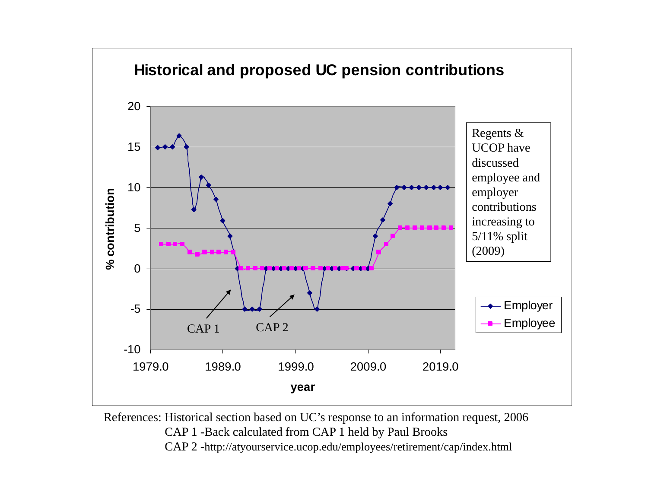

References: Historical section based on UC's response to an information request, 2006 CAP 1 -Back calculated from CAP 1 held by Paul Brooks

CAP 2 -http://atyourservice.ucop.edu/employees/retirement/cap/index.html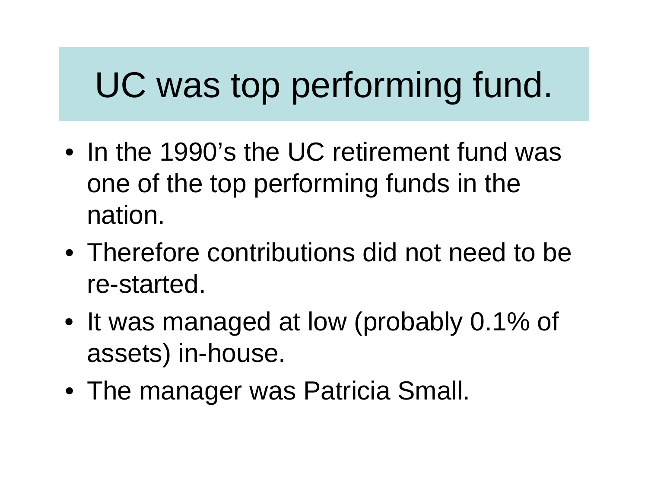### UC was top performing fund .

- In the 1990's the UC retirement fund was one of the top performing funds in the nation.
- Therefore contributions did not need to be re-started.
- It was managed at low (probably 0.1% of assets) in-house.
- The manager was Patricia Small.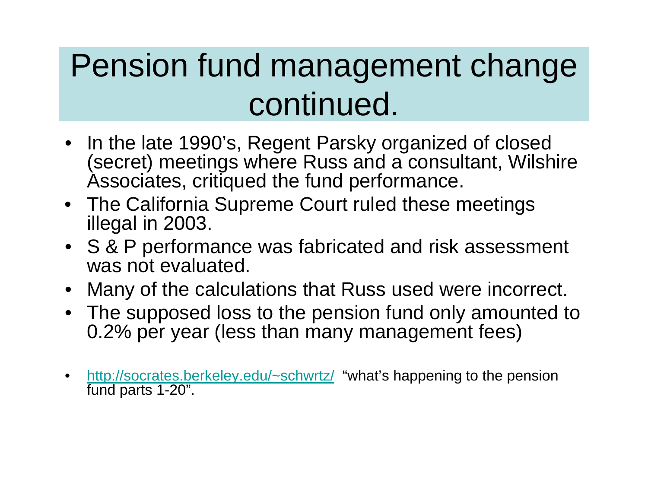## Pension fund management change continued.

- In the late 1990's, Regent Parsky organized of closed (secret) meetings where Russ and a consultant, Wilshire Associates, critiqued the fund performance.
- The California Supreme Court ruled these meetings illegal in 2003.
- S & P performance was fabricated and risk assessment was not evaluated.
- Many o f the calculations that Russ used were incorrect.
- The supposed loss to the pension fund only amounted to 0.2% per year (less than many management fees)
- •http://socrates.berkeley.edu/~schwrtz/ "what's happening to the pension fund parts 1-20".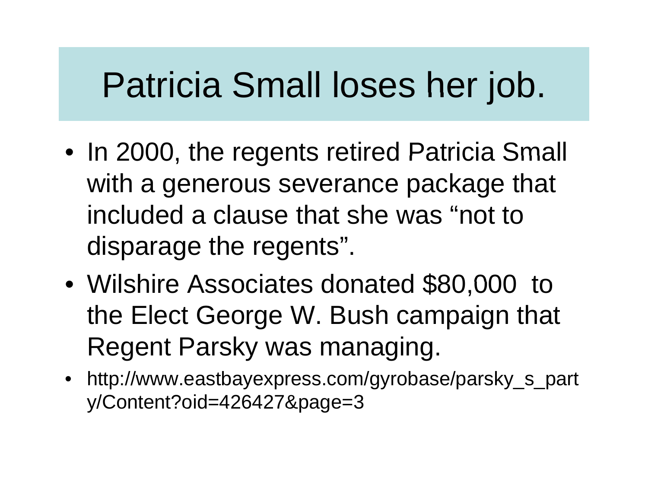### Patricia Small loses her job .

- In 2000, the regents retired Patricia Small with a generous severance package that included a clause that she was "not to disparage the regents".
- •• Wilshire Associates donated \$80,000 to the Elect George W. Bush campaign that Regent Parsky was managing.
- http://www.eastbayexpress.com/gyrobase/parsky\_s\_part y/Content?oid=426427&page=3 =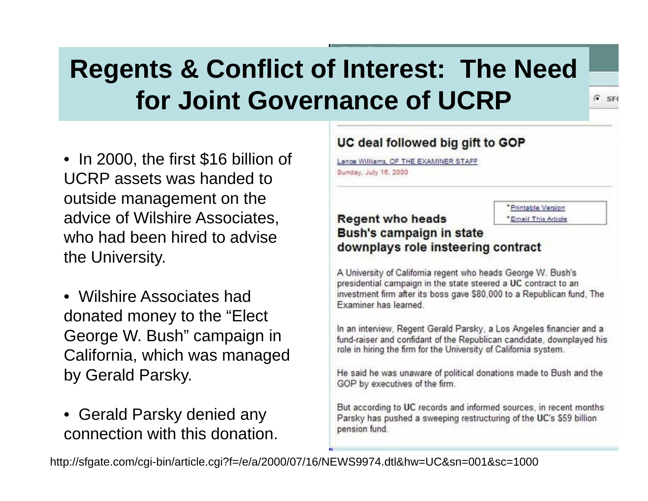## **Regents & Conflict of Interest: The Need for Joint Governance of UCRP**

 $\bullet\,$  In 2000, the first \$16 billion of UCRP assets was handed to outside management on the advice of Wilshire Associates, who had been hired to advise the University.

- Wilshire Associates had donated money to the "Elect George W. Bush" campaign in California, which was managed by Gerald Parsky.
- Gerald Parsky denied any connection with this donation.

#### UC deal followed big gift to GOP

Lance Williams, OF THE EXAMINER STAFF Sunday, July 16, 2000

Printable Version

**Email This Article** 

#### **Regent who heads Bush's campaign in state** downplays role insteering contract

A University of California regent who heads George W. Bush's presidential campaign in the state steered a UC contract to an investment firm after its boss gave \$80,000 to a Republican fund. The Examiner has learned

In an interview, Regent Gerald Parsky, a Los Angeles financier and a fund-raiser and confidant of the Republican candidate, downplayed his role in hiring the firm for the University of California system.

He said he was unaware of political donations made to Bush and the GOP by executives of the firm.

But according to UC records and informed sources, in recent months Parsky has pushed a sweeping restructuring of the UC's \$59 billion pension fund.

http://sfgate.com/cgi-bin/article.cgi?f=/e/a/2000/07/16/NEWS9974.dtl&hw=UC&sn=001&sc=1000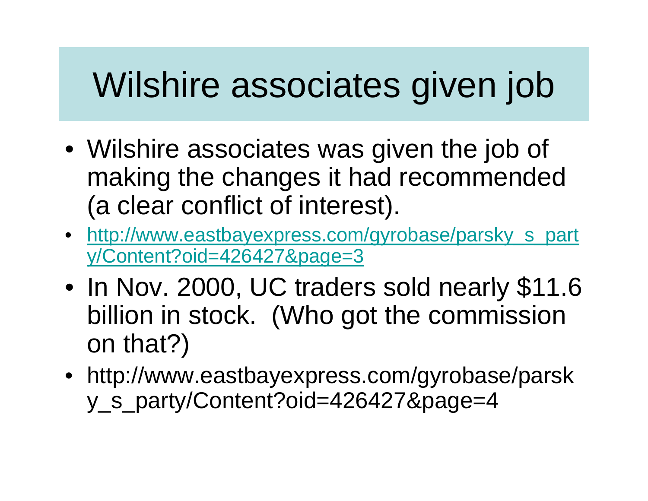# Wilshire associates given job

- $\bullet\,$  Wilshire associates was given the job of making the changes it had recommended (a clear conflict of interest).
- http://www.eastbayexpress.com/gyrobase/parsky\_s\_part y/Content?oid=426427&page=3
- •• In Nov. 2000, UC traders sold nearly \$11.6 billion in stock. (Who got the commission on that?)
- http://www.eastbayexpress.com/gyrobase/parsk y\_s\_party/Content?oid=426427&page=4 =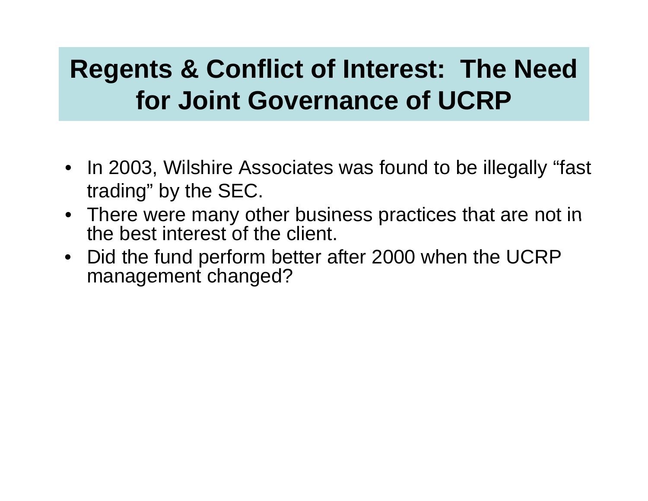## **Regents & Conflict of Interest: The Need for Joint Governance of UCRP**

- In 2003, Wilshire Associates was found to be illegally "fast trading" by the SEC.
- $\bullet~$  There were many other business practices that are not in the best interest of the client.
- Did the fund perform better after 2000 when the UCRP management changed?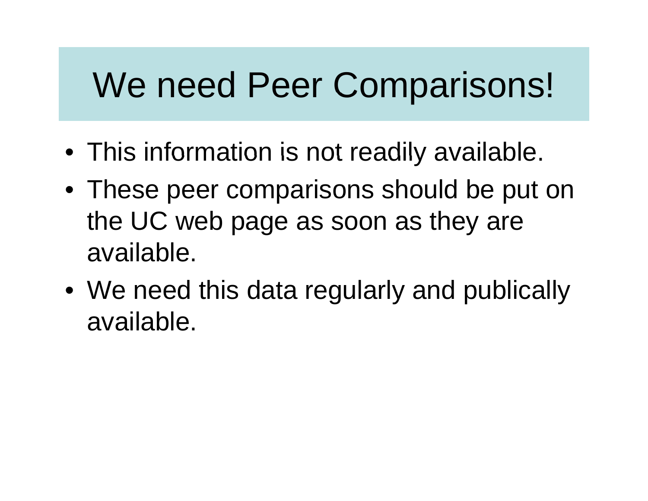# We need Peer Comparisons!

- $\bullet\,$  This information is not readily available.
- These peer comparisons should be put on the UC web page as soon as they are available.
- $\bullet\,$  We need this data regularly and publically available.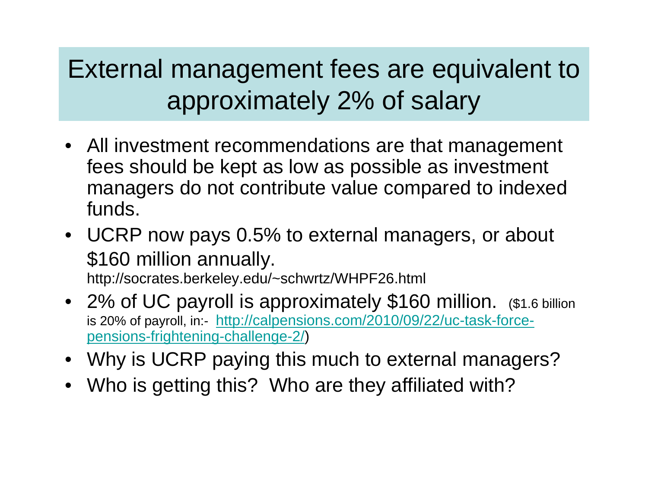## External management fees are equivalent to approximately 2% of salary

- All investment recommendations are that mana gement fees should be kept as low as possible as investment managers do not contribute value compared to indexed funds.
- UCRP now pays 0.5% to external managers, or about \$160 million annually. http://socrates.berkeley.edu/~schwrtz/WHPF26.html
- 2% of UC payroll is approximately \$160 million. (\$1.6 billion is 20% of payroll, in:- http://calpensions.com/2010/09/22/uc-task-forcepensions-frightening-challenge-2/)
- •Why is UCRP paying this much to external managers?
- Who is getting this? Who are they affiliated with?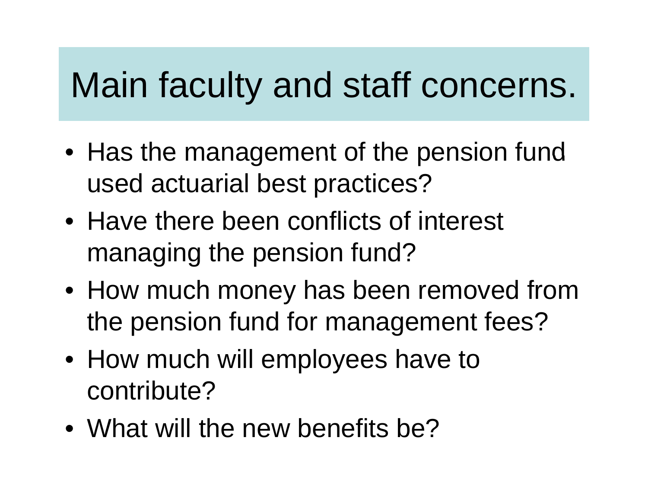### Main faculty and staff concerns .

- $\bullet\,$  Has the management of the pension fund used actuarial best practices?
- Have there been conflicts of interest managing the pension fund?
- How much money has been removed from the pension fund for management fees?
- How much will employees have to contribute?
- What will the new benefits be?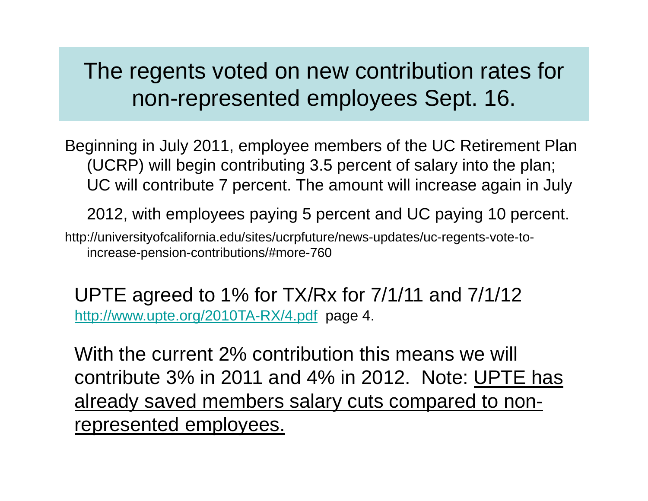## The regents voted on new contribution rates for non-represented employees Sept. 16.

Beginning in July 2011, employee members of the UC Retirement Plan (UCRP) will begin contributing 3.5 percent of salary into the plan; UC will contribute 7 percent. The amount will increase again in July

2012, with employees paying 5 percent and UC paying 10 percent.

http://universityofcalifornia.edu/sites/ucrpfuture/news-updates/uc-regents-vote-toincrease-pension-contributions/#more-760

UPTE agreed to 1% for TX/Rx for 7/1/11 and 7/1/12 http://www.upte.org/2010TA-RX/4.pdf page 4.

With the current 2% contribution this means we will contribute 3% in 2011 and 4% in 2012. Note: UPTE has <u>already saved members salary cuts compared to non-</u> represented employees.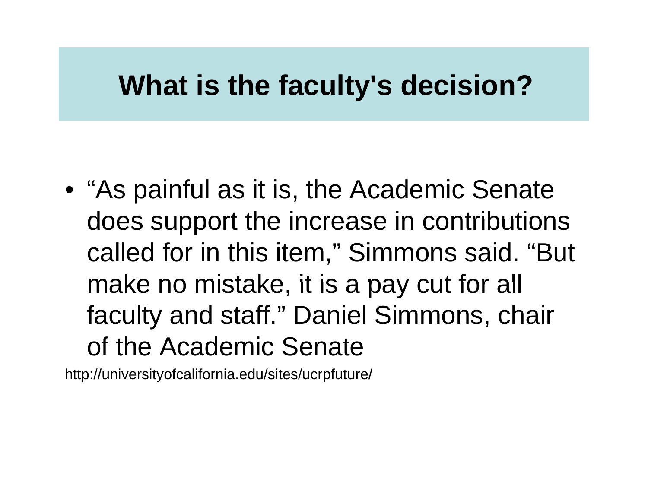## **What is the faculty's decision?**

• "As painful as it is, the Academic Senate does support the increase in contributions called for in this item," Simmons said. "But make no mistake, it is a pay cut for all faculty and staff." Daniel Simmons, chair of the Academic Senate

http://universityofcalifornia.edu/sites/ucrpfuture/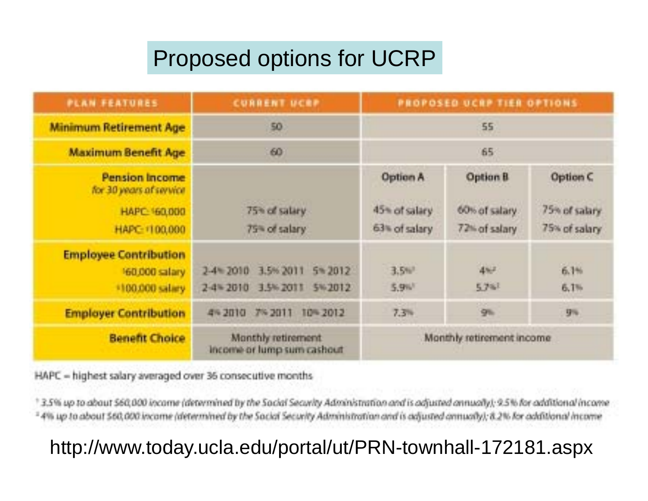## Proposed options for UCRP

| <b>PLAN FEATURES</b>                                                     | <b>CURRENT UCRP</b>                                                        | PROPOSED UCRP TIER OPTIONS |                           |                            |
|--------------------------------------------------------------------------|----------------------------------------------------------------------------|----------------------------|---------------------------|----------------------------|
| <b>Minimum Retirement Age</b>                                            | 50                                                                         | 55                         |                           |                            |
| <b>Maximum Benefit Age</b>                                               | 60                                                                         | 65.                        |                           |                            |
| <b>Pension Income</b><br>for 30 years of service<br><b>HAPC: 160.000</b> | 75% of salary                                                              | Option A<br>45% of salary  | Option B<br>60% of salary | Option C<br>75% of salary. |
| HAPC-1100,000                                                            | 75% of salary                                                              | 63% of salary              | 72% of salary             | 75% of salary              |
| <b>Employee Contribution</b><br><b>160,000 salary</b><br>#100,000 salary | 3.5% 2011<br>$5 - 2012$<br>2-4% 2010<br>3.5% 2011<br>5%2012<br>$24 - 2010$ | 3.5%<br>5.9%               | $4.67$<br>5.7%1           | 6.1%<br>6.1%               |
| <b>Employer Contribution</b>                                             | 49.2010<br>78,2011<br>$10 - 2012$                                          | $7.3*$                     | $\frac{1}{2}$             | 3m                         |
| <b>Benefit Choice</b>                                                    | Monthly retirement<br>Income or lump sum cashout                           | Monthly retirement income  |                           |                            |

HAPC - highest salary averaged over 36 consecutive months

<sup>1</sup> 3.5% up to about \$60,000 income (determined by the Social Security Administration and is adjusted annually); 9.5% for additional income <sup>2</sup> 4% up to about \$60,000 income (determined by the Social Security Administration and is adjusted annually); 8.2% for additional income

http://www.today.ucla.edu/portal/ut/PRN-townhall-172181.aspx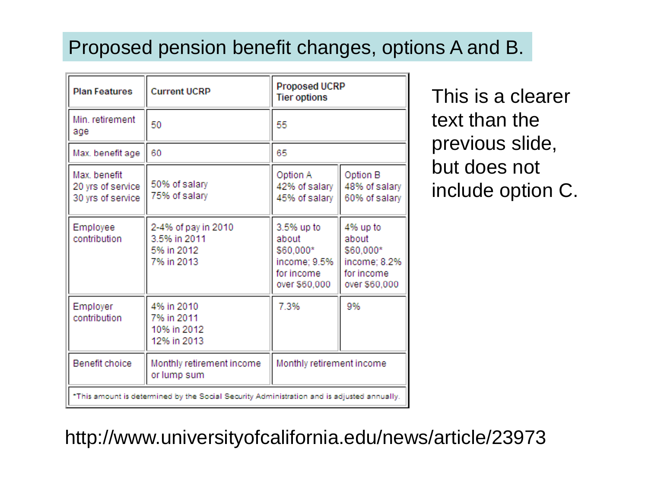### Proposed pension benefit changes, options A and B.

| <b>Plan Features</b>                                                                       | <b>Current UCRP</b>                                             | <b>Proposed UCRP</b><br><b>Tier options</b>                                     |                                                                               |  |  |
|--------------------------------------------------------------------------------------------|-----------------------------------------------------------------|---------------------------------------------------------------------------------|-------------------------------------------------------------------------------|--|--|
| Min. retirement<br>age                                                                     | 50                                                              | 55                                                                              |                                                                               |  |  |
| Max, benefit age                                                                           | 60                                                              | 65                                                                              |                                                                               |  |  |
| Max, benefit<br>20 yrs of service<br>30 yrs of service                                     | 50% of salary<br>75% of salary                                  | Option A<br>42% of salary<br>45% of salary                                      | Option B<br>48% of salary<br>60% of salary                                    |  |  |
| Employee<br>contribution                                                                   | 2-4% of pay in 2010<br>3.5% in 2011<br>5% in 2012<br>7% in 2013 | 3.5% up to<br>about<br>\$60,000*<br>income; 9.5%<br>for income<br>over \$60,000 | 4% up to<br>about<br>\$60,000*<br>income; 8.2%<br>for income<br>over \$60,000 |  |  |
| Employer<br>contribution                                                                   | 4% in 2010<br>7% in 2011<br>10% in 2012<br>12% in 2013          | 7.3%                                                                            | 9%                                                                            |  |  |
| Benefit choice                                                                             | Monthly retirement income<br>or lump sum                        | Monthly retirement income                                                       |                                                                               |  |  |
| *This amount is determined by the Social Security Administration and is adjusted annually. |                                                                 |                                                                                 |                                                                               |  |  |

This is a clearer text than the previous slide, but does not include option C.

### http://www.universityofcalifornia.edu/news/article/23973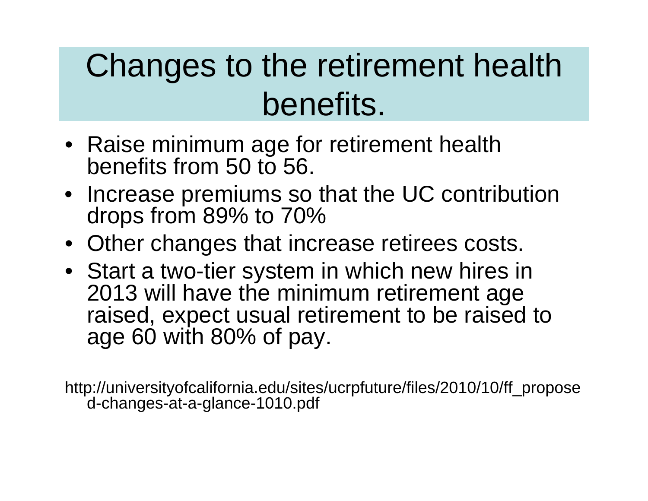## Changes to the retirement health benefits.

- Raise minimum a ge for retirement health benefits from 50 to 56.
- Increase premiums so that the UC contribution drops from 89% to 70%
- Other changes that increase retirees costs.
- Start a two-tier s ystem in which new hires in 2013 will have the minimum retirement age raised, expect usual retirement to be raised to age 60 with 80% of pay.

http://universityofcalifornia.edu/sites/ucrpfuture/files/2010/10/ff\_propose d-changes-at-a-glance-1010.pdf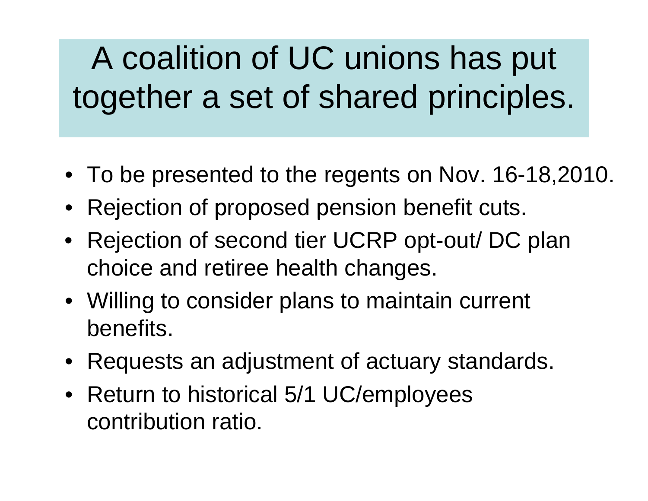# A coalition of UC unions has put together a set of shared principles.

- To be presented to the regents on Nov. 16-18,2010.
- Rejection of proposed pension benefit cuts.
- Rejection of second tier UCRP opt-out/ DC plan choice and retiree health changes.
- Willing to consider plans to maintain current benefits.
- Requests an adjustment of actuary standards.
- Return to historical 5/1 UC/employees contribution ratio.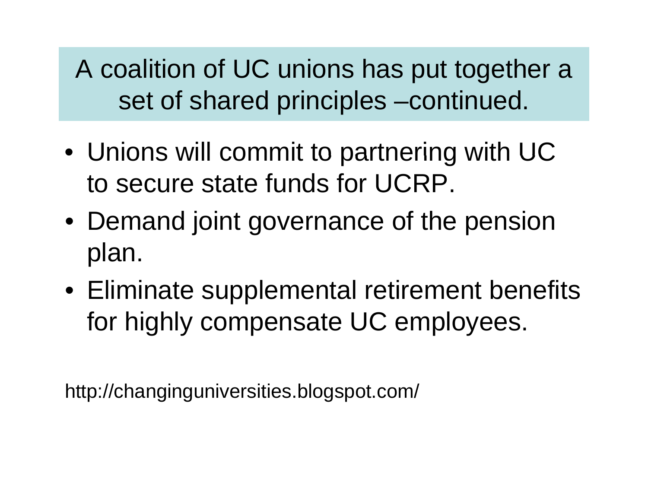A coalition of UC unions has put together a set of shared principles -continued.

- $\bullet\,$  Unions will commit to partnering with UC to secure state funds for UCRP.
- Demand joint governance of the pension plan.
- Eliminate supplemental retirement benefits for highly compensate UC employees.

http://changinguniversities.blogspot.com/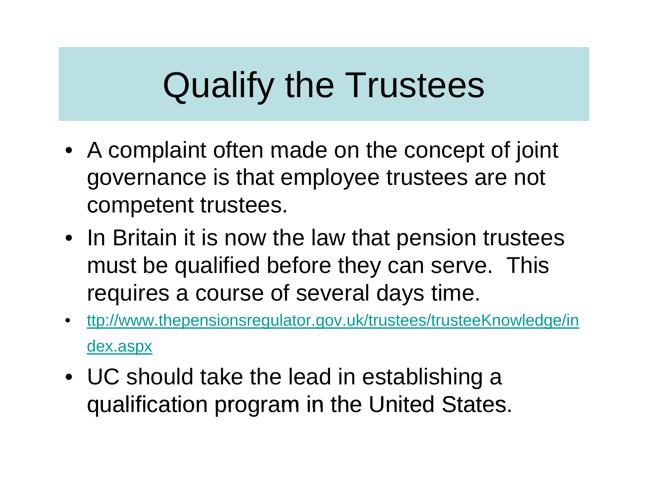# Qualify the Trustees

- $\bullet$  A complaint often made on the concept of joint governance is that employee trustees are not competent trustees.
- In Britain it is now the law that pension trustees must be qualified before they can serve. This requires a course of several days time.
- $\bullet$  ttp://www.thepensionsregulator.gov.uk/trustees/trusteeKnowledge/in dex.aspx
- UC <sup>s</sup>hould take the lead in establishing a qualification program in the United States.